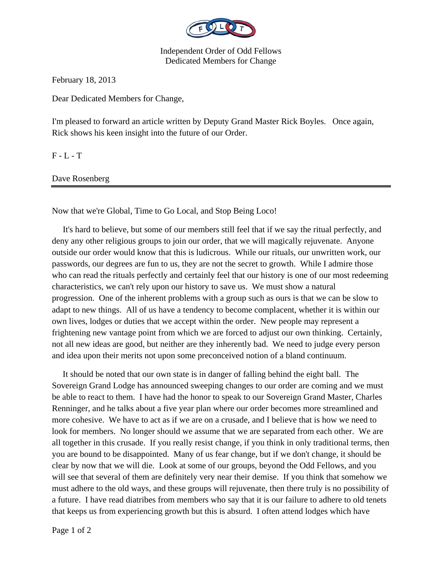

Independent Order of Odd Fellows Dedicated Members for Change

February 18, 2013

Dear Dedicated Members for Change,

I'm pleased to forward an article written by Deputy Grand Master Rick Boyles. Once again, Rick shows his keen insight into the future of our Order.

 $F - L - T$ 

Dave Rosenberg

Now that we're Global, Time to Go Local, and Stop Being Loco!

 It's hard to believe, but some of our members still feel that if we say the ritual perfectly, and deny any other religious groups to join our order, that we will magically rejuvenate. Anyone outside our order would know that this is ludicrous. While our rituals, our unwritten work, our passwords, our degrees are fun to us, they are not the secret to growth. While I admire those who can read the rituals perfectly and certainly feel that our history is one of our most redeeming characteristics, we can't rely upon our history to save us. We must show a natural progression. One of the inherent problems with a group such as ours is that we can be slow to adapt to new things. All of us have a tendency to become complacent, whether it is within our own lives, lodges or duties that we accept within the order. New people may represent a frightening new vantage point from which we are forced to adjust our own thinking. Certainly, not all new ideas are good, but neither are they inherently bad. We need to judge every person and idea upon their merits not upon some preconceived notion of a bland continuum.

 It should be noted that our own state is in danger of falling behind the eight ball. The Sovereign Grand Lodge has announced sweeping changes to our order are coming and we must be able to react to them. I have had the honor to speak to our Sovereign Grand Master, Charles Renninger, and he talks about a five year plan where our order becomes more streamlined and more cohesive. We have to act as if we are on a crusade, and I believe that is how we need to look for members. No longer should we assume that we are separated from each other. We are all together in this crusade. If you really resist change, if you think in only traditional terms, then you are bound to be disappointed. Many of us fear change, but if we don't change, it should be clear by now that we will die. Look at some of our groups, beyond the Odd Fellows, and you will see that several of them are definitely very near their demise. If you think that somehow we must adhere to the old ways, and these groups will rejuvenate, then there truly is no possibility of a future. I have read diatribes from members who say that it is our failure to adhere to old tenets that keeps us from experiencing growth but this is absurd. I often attend lodges which have